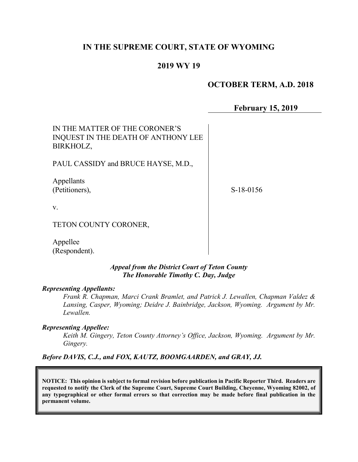## IN THE SUPREME COURT, STATE OF WYOMING

# 2019 WY 19

# OCTOBER TERM, A.D. 2018

February 15, 2019

IN THE MATTER OF THE CORONER'S INQUEST IN THE DEATH OF ANTHONY LEE BIRKHOLZ,

PAUL CASSIDY and BRUCE HAYSE, M.D.,

Appellants (Petitioners),

S-18-0156

v.

#### TETON COUNTY CORONER,

Appellee (Respondent).

#### Appeal from the District Court of Teton County The Honorable Timothy C. Day, Judge

#### Representing Appellants:

Frank R. Chapman, Marci Crank Bramlet, and Patrick J. Lewallen, Chapman Valdez & Lansing, Casper, Wyoming; Deidre J. Bainbridge, Jackson, Wyoming. Argument by Mr. Lewallen.

#### Representing Appellee:

Keith M. Gingery, Teton County Attorney's Office, Jackson, Wyoming. Argument by Mr. Gingery.

Before DAVIS, C.J., and FOX, KAUTZ, BOOMGAARDEN, and GRAY, JJ.

NOTICE: This opinion is subject to formal revision before publication in Pacific Reporter Third. Readers are requested to notify the Clerk of the Supreme Court, Supreme Court Building, Cheyenne, Wyoming 82002, of any typographical or other formal errors so that correction may be made before final publication in the permanent volume.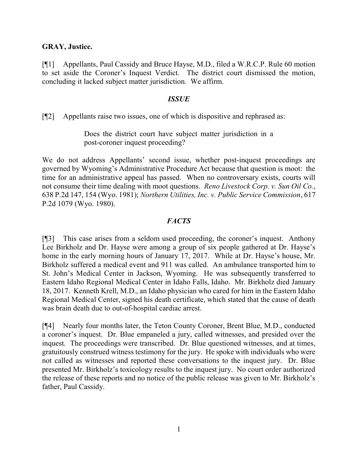### GRAY, Justice.

[¶1] Appellants, Paul Cassidy and Bruce Hayse, M.D., filed a W.R.C.P. Rule 60 motion to set aside the Coroner's Inquest Verdict. The district court dismissed the motion, concluding it lacked subject matter jurisdiction. We affirm.

### ISSUE

[¶2] Appellants raise two issues, one of which is dispositive and rephrased as:

Does the district court have subject matter jurisdiction in a post-coroner inquest proceeding?

We do not address Appellants' second issue, whether post-inquest proceedings are governed by Wyoming's Administrative Procedure Act because that question is moot: the time for an administrative appeal has passed. When no controversary exists, courts will not consume their time dealing with moot questions. Reno Livestock Corp. v. Sun Oil Co., 638 P.2d 147, 154 (Wyo. 1981); Northern Utilities, Inc. v. Public Service Commission, 617 P.2d 1079 (Wyo. 1980).

## **FACTS**

[¶3] This case arises from a seldom used proceeding, the coroner's inquest. Anthony Lee Birkholz and Dr. Hayse were among a group of six people gathered at Dr. Hayse's home in the early morning hours of January 17, 2017. While at Dr. Hayse's house, Mr. Birkholz suffered a medical event and 911 was called. An ambulance transported him to St. John's Medical Center in Jackson, Wyoming. He was subsequently transferred to Eastern Idaho Regional Medical Center in Idaho Falls, Idaho. Mr. Birkholz died January 18, 2017. Kenneth Krell, M.D., an Idaho physician who cared for him in the Eastern Idaho Regional Medical Center, signed his death certificate, which stated that the cause of death was brain death due to out-of-hospital cardiac arrest.

[¶4] Nearly four months later, the Teton County Coroner, Brent Blue, M.D., conducted a coroner's inquest. Dr. Blue empaneled a jury, called witnesses, and presided over the inquest. The proceedings were transcribed. Dr. Blue questioned witnesses, and at times, gratuitously construed witness testimony for the jury. He spoke with individuals who were not called as witnesses and reported these conversations to the inquest jury. Dr. Blue presented Mr. Birkholz's toxicology results to the inquest jury. No court order authorized the release of these reports and no notice of the public release was given to Mr. Birkholz's father, Paul Cassidy.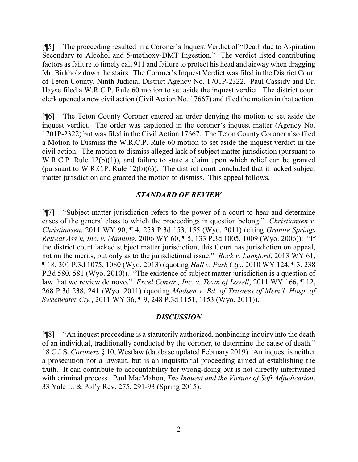[¶5] The proceeding resulted in a Coroner's Inquest Verdict of "Death due to Aspiration Secondary to Alcohol and 5-methoxy-DMT Ingestion." The verdict listed contributing factors as failure to timely call 911 and failure to protect his head and airway when dragging Mr. Birkholz down the stairs. The Coroner's Inquest Verdict was filed in the District Court of Teton County, Ninth Judicial District Agency No. 1701P-2322. Paul Cassidy and Dr. Hayse filed a W.R.C.P. Rule 60 motion to set aside the inquest verdict. The district court clerk opened a new civil action (Civil Action No. 17667) and filed the motion in that action.

[¶6] The Teton County Coroner entered an order denying the motion to set aside the inquest verdict. The order was captioned in the coroner's inquest matter (Agency No. 1701P-2322) but was filed in the Civil Action 17667. The Teton County Coroner also filed a Motion to Dismiss the W.R.C.P. Rule 60 motion to set aside the inquest verdict in the civil action. The motion to dismiss alleged lack of subject matter jurisdiction (pursuant to W.R.C.P. Rule 12(b)(1)), and failure to state a claim upon which relief can be granted (pursuant to W.R.C.P. Rule 12(b)(6)). The district court concluded that it lacked subject matter jurisdiction and granted the motion to dismiss. This appeal follows.

## STANDARD OF REVIEW

[¶7] "Subject-matter jurisdiction refers to the power of a court to hear and determine cases of the general class to which the proceedings in question belong." Christiansen v. Christiansen, 2011 WY 90, ¶ 4, 253 P.3d 153, 155 (Wyo. 2011) (citing Granite Springs Retreat Ass'n, Inc. v. Manning, 2006 WY 60, ¶ 5, 133 P.3d 1005, 1009 (Wyo. 2006)). "If the district court lacked subject matter jurisdiction, this Court has jurisdiction on appeal, not on the merits, but only as to the jurisdictional issue." Rock v. Lankford, 2013 WY 61, ¶ 18, 301 P.3d 1075, 1080 (Wyo. 2013) (quoting Hall v. Park Cty., 2010 WY 124, ¶ 3, 238 P.3d 580, 581 (Wyo. 2010)). "The existence of subject matter jurisdiction is a question of law that we review de novo." *Excel Constr., Inc. v. Town of Lovell*, 2011 WY 166, 12, 268 P.3d 238, 241 (Wyo. 2011) (quoting Madsen v. Bd. of Trustees of Mem'l. Hosp. of Sweetwater Cty., 2011 WY 36, ¶ 9, 248 P.3d 1151, 1153 (Wyo. 2011)).

#### **DISCUSSION**

[¶8] "An inquest proceeding is a statutorily authorized, nonbinding inquiry into the death of an individual, traditionally conducted by the coroner, to determine the cause of death." 18 C.J.S. Coroners § 10, Westlaw (database updated February 2019). An inquest is neither a prosecution nor a lawsuit, but is an inquisitorial proceeding aimed at establishing the truth. It can contribute to accountability for wrong-doing but is not directly intertwined with criminal process. Paul MacMahon, The Inquest and the Virtues of Soft Adjudication, 33 Yale L. & Pol'y Rev. 275, 291-93 (Spring 2015).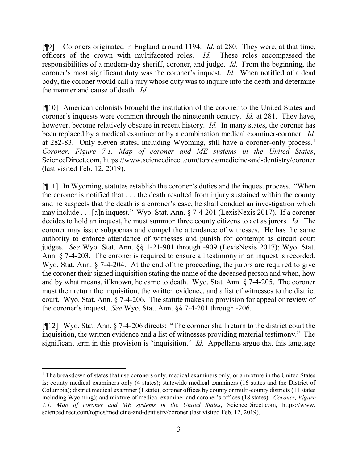[ $[$ [9] Coroners originated in England around 1194. *Id.* at 280. They were, at that time, officers of the crown with multifaceted roles. Id. These roles encompassed the responsibilities of a modern-day sheriff, coroner, and judge. Id. From the beginning, the coroner's most significant duty was the coroner's inquest. Id. When notified of a dead body, the coroner would call a jury whose duty was to inquire into the death and determine the manner and cause of death. Id.

[¶10] American colonists brought the institution of the coroner to the United States and coroner's inquests were common through the nineteenth century. *Id.* at 281. They have, however, become relatively obscure in recent history. *Id.* In many states, the coroner has been replaced by a medical examiner or by a combination medical examiner-coroner. Id. at 282-83. Only eleven states, including Wyoming, still have a coroner-only process.<sup>1</sup> Coroner, Figure 7.1. Map of coroner and ME systems in the United States, ScienceDirect.com, https://www.sciencedirect.com/topics/medicine-and-dentistry/coroner (last visited Feb. 12, 2019).

[¶11] In Wyoming, statutes establish the coroner's duties and the inquest process. "When the coroner is notified that . . . the death resulted from injury sustained within the county and he suspects that the death is a coroner's case, he shall conduct an investigation which may include . . . [a]n inquest." Wyo. Stat. Ann. § 7-4-201 (LexisNexis 2017). If a coroner decides to hold an inquest, he must summon three county citizens to act as jurors. Id. The coroner may issue subpoenas and compel the attendance of witnesses. He has the same authority to enforce attendance of witnesses and punish for contempt as circuit court judges. See Wyo. Stat. Ann. §§ 1-21-901 through -909 (LexisNexis 2017); Wyo. Stat. Ann. § 7-4-203. The coroner is required to ensure all testimony in an inquest is recorded. Wyo. Stat. Ann. § 7-4-204. At the end of the proceeding, the jurors are required to give the coroner their signed inquisition stating the name of the deceased person and when, how and by what means, if known, he came to death. Wyo. Stat. Ann. § 7-4-205. The coroner must then return the inquisition, the written evidence, and a list of witnesses to the district court. Wyo. Stat. Ann. § 7-4-206. The statute makes no provision for appeal or review of the coroner's inquest. See Wyo. Stat. Ann. §§ 7-4-201 through -206.

[¶12] Wyo. Stat. Ann. § 7-4-206 directs: "The coroner shall return to the district court the inquisition, the written evidence and a list of witnesses providing material testimony." The significant term in this provision is "inquisition." *Id.* Appellants argue that this language

 $\overline{a}$ 

<sup>&</sup>lt;sup>1</sup> The breakdown of states that use coroners only, medical examiners only, or a mixture in the United States is: county medical examiners only (4 states); statewide medical examiners (16 states and the District of Columbia); district medical examiner (1 state); coroner offices by county or multi-county districts (11 states including Wyoming); and mixture of medical examiner and coroner's offices (18 states). Coroner, Figure 7.1. Map of coroner and ME systems in the United States, ScienceDirect.com, https://www. sciencedirect.com/topics/medicine-and-dentistry/coroner (last visited Feb. 12, 2019).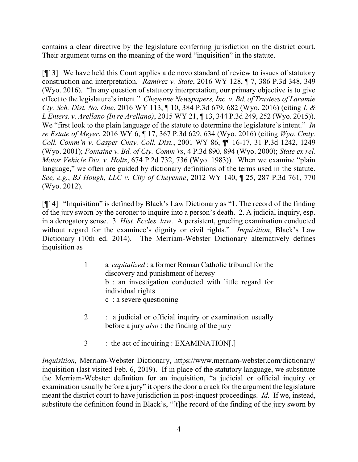contains a clear directive by the legislature conferring jurisdiction on the district court. Their argument turns on the meaning of the word "inquisition" in the statute.

[¶13] We have held this Court applies a de novo standard of review to issues of statutory construction and interpretation. Ramirez v. State, 2016 WY 128, ¶ 7, 386 P.3d 348, 349 (Wyo. 2016). "In any question of statutory interpretation, our primary objective is to give effect to the legislature's intent." Cheyenne Newspapers, Inc. v. Bd. of Trustees of Laramie Cty. Sch. Dist. No. One, 2016 WY 113, ¶ 10, 384 P.3d 679, 682 (Wyo. 2016) (citing L & L Enters. v. Arellano (In re Arellano), 2015 WY 21, ¶ 13, 344 P.3d 249, 252 (Wyo. 2015)). We "first look to the plain language of the statute to determine the legislature's intent." In re Estate of Meyer, 2016 WY 6, ¶ 17, 367 P.3d 629, 634 (Wyo. 2016) (citing Wyo. Cmty. Coll. Comm'n v. Casper Cmty. Coll. Dist., 2001 WY 86, ¶¶ 16-17, 31 P.3d 1242, 1249 (Wyo. 2001); Fontaine v. Bd. of Cty. Comm'rs, 4 P.3d 890, 894 (Wyo. 2000); State ex rel. Motor Vehicle Div. v. Holtz, 674 P.2d 732, 736 (Wyo. 1983)). When we examine "plain language," we often are guided by dictionary definitions of the terms used in the statute. See, e.g., BJ Hough, LLC v. City of Cheyenne, 2012 WY 140, ¶ 25, 287 P.3d 761, 770 (Wyo. 2012).

[¶14] "Inquisition" is defined by Black's Law Dictionary as "1. The record of the finding of the jury sworn by the coroner to inquire into a person's death. 2. A judicial inquiry, esp. in a derogatory sense. 3. Hist. Eccles. law. A persistent, grueling examination conducted without regard for the examinee's dignity or civil rights." *Inquisition*, Black's Law Dictionary (10th ed. 2014). The Merriam-Webster Dictionary alternatively defines inquisition as

- 1 a capitalized : a former Roman Catholic tribunal for the discovery and punishment of heresy b : an investigation conducted with little regard for individual rights c : a severe questioning
- 2 : a judicial or official inquiry or examination usually before a jury also : the finding of the jury
- 3 : the act of inquiring : EXAMINATION[.]

Inquisition, Merriam-Webster Dictionary, https://www.merriam-webster.com/dictionary/ inquisition (last visited Feb. 6, 2019). If in place of the statutory language, we substitute the Merriam-Webster definition for an inquisition, "a judicial or official inquiry or examination usually before a jury" it opens the door a crack for the argument the legislature meant the district court to have jurisdiction in post-inquest proceedings. *Id.* If we, instead, substitute the definition found in Black's, "[t]he record of the finding of the jury sworn by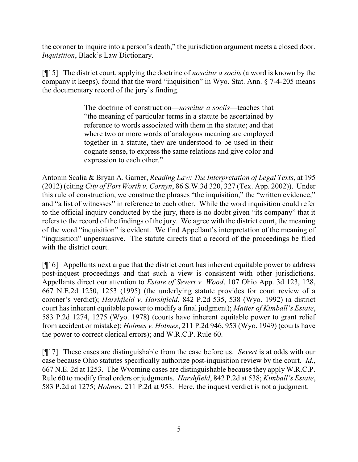the coroner to inquire into a person's death," the jurisdiction argument meets a closed door. Inquisition, Black's Law Dictionary.

[ $[15]$ ] The district court, applying the doctrine of *noscitur a sociis* (a word is known by the company it keeps), found that the word "inquisition" in Wyo. Stat. Ann. § 7-4-205 means the documentary record of the jury's finding.

> The doctrine of construction—*noscitur a sociis*—teaches that "the meaning of particular terms in a statute be ascertained by reference to words associated with them in the statute; and that where two or more words of analogous meaning are employed together in a statute, they are understood to be used in their cognate sense, to express the same relations and give color and expression to each other."

Antonin Scalia & Bryan A. Garner, Reading Law: The Interpretation of Legal Texts, at 195 (2012) (citing City of Fort Worth v. Cornyn, 86 S.W.3d 320, 327 (Tex. App. 2002)). Under this rule of construction, we construe the phrases "the inquisition," the "written evidence," and "a list of witnesses" in reference to each other. While the word inquisition could refer to the official inquiry conducted by the jury, there is no doubt given "its company" that it refers to the record of the findings of the jury. We agree with the district court, the meaning of the word "inquisition" is evident. We find Appellant's interpretation of the meaning of "inquisition" unpersuasive. The statute directs that a record of the proceedings be filed with the district court.

[¶16] Appellants next argue that the district court has inherent equitable power to address post-inquest proceedings and that such a view is consistent with other jurisdictions. Appellants direct our attention to Estate of Severt v. Wood, 107 Ohio App. 3d 123, 128, 667 N.E.2d 1250, 1253 (1995) (the underlying statute provides for court review of a coroner's verdict); Harshfield v. Harshfield, 842 P.2d 535, 538 (Wyo. 1992) (a district court has inherent equitable power to modify a final judgment); Matter of Kimball's Estate, 583 P.2d 1274, 1275 (Wyo. 1978) (courts have inherent equitable power to grant relief from accident or mistake); Holmes v. Holmes, 211 P.2d 946, 953 (Wyo. 1949) (courts have the power to correct clerical errors); and W.R.C.P. Rule 60.

[¶17] These cases are distinguishable from the case before us. Severt is at odds with our case because Ohio statutes specifically authorize post-inquisition review by the court. Id., 667 N.E. 2d at 1253. The Wyoming cases are distinguishable because they apply W.R.C.P. Rule 60 to modify final orders or judgments. Harshfield, 842 P.2d at 538; Kimball's Estate, 583 P.2d at 1275; Holmes, 211 P.2d at 953. Here, the inquest verdict is not a judgment.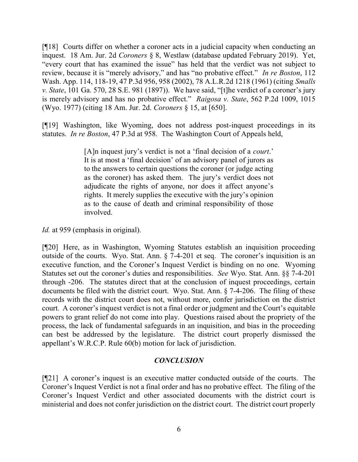[¶18] Courts differ on whether a coroner acts in a judicial capacity when conducting an inquest. 18 Am. Jur. 2d Coroners § 8, Westlaw (database updated February 2019). Yet, "every court that has examined the issue" has held that the verdict was not subject to review, because it is "merely advisory," and has "no probative effect." In re Boston, 112 Wash. App. 114, 118-19, 47 P.3d 956, 958 (2002), 78 A.L.R.2d 1218 (1961) (citing Smalls v. State, 101 Ga. 570, 28 S.E. 981 (1897)). We have said, "[t]he verdict of a coroner's jury is merely advisory and has no probative effect." Raigosa v. State, 562 P.2d 1009, 1015 (Wyo. 1977) (citing 18 Am. Jur. 2d. Coroners § 15, at [650].

[¶19] Washington, like Wyoming, does not address post-inquest proceedings in its statutes. In re Boston, 47 P.3d at 958. The Washington Court of Appeals held,

> [A]n inquest jury's verdict is not a 'final decision of a *court*.' It is at most a 'final decision' of an advisory panel of jurors as to the answers to certain questions the coroner (or judge acting as the coroner) has asked them. The jury's verdict does not adjudicate the rights of anyone, nor does it affect anyone's rights. It merely supplies the executive with the jury's opinion as to the cause of death and criminal responsibility of those involved.

Id. at 959 (emphasis in original).

[¶20] Here, as in Washington, Wyoming Statutes establish an inquisition proceeding outside of the courts. Wyo. Stat. Ann. § 7-4-201 et seq. The coroner's inquisition is an executive function, and the Coroner's Inquest Verdict is binding on no one. Wyoming Statutes set out the coroner's duties and responsibilities. See Wyo. Stat. Ann. §§ 7-4-201 through -206. The statutes direct that at the conclusion of inquest proceedings, certain documents be filed with the district court. Wyo. Stat. Ann. § 7-4-206. The filing of these records with the district court does not, without more, confer jurisdiction on the district court. A coroner's inquest verdict is not a final order or judgment and the Court's equitable powers to grant relief do not come into play. Questions raised about the propriety of the process, the lack of fundamental safeguards in an inquisition, and bias in the proceeding can best be addressed by the legislature. The district court properly dismissed the appellant's W.R.C.P. Rule 60(b) motion for lack of jurisdiction.

## **CONCLUSION**

[¶21] A coroner's inquest is an executive matter conducted outside of the courts. The Coroner's Inquest Verdict is not a final order and has no probative effect. The filing of the Coroner's Inquest Verdict and other associated documents with the district court is ministerial and does not confer jurisdiction on the district court. The district court properly